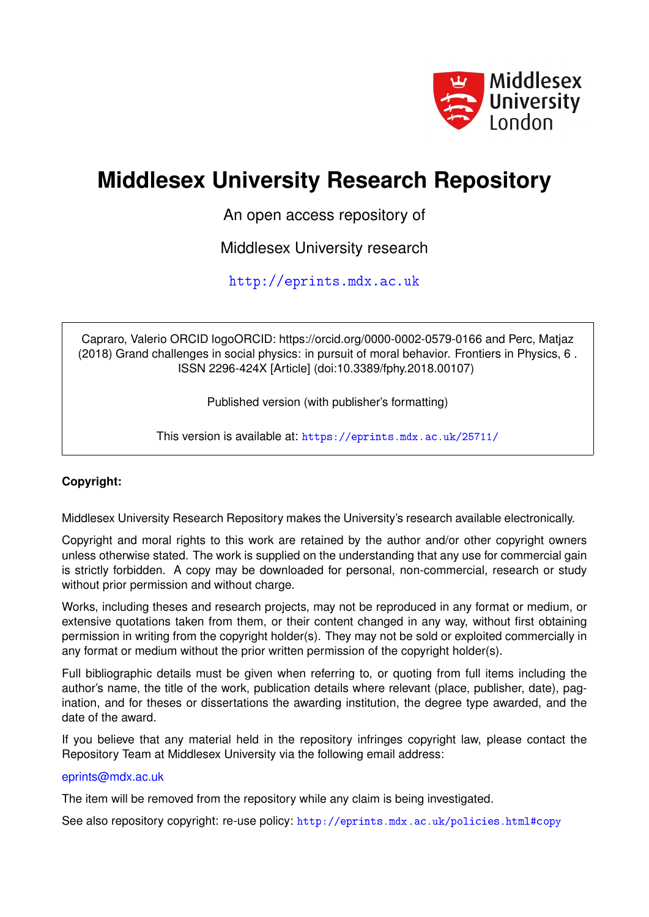

# **Middlesex University Research Repository**

An open access repository of

Middlesex University research

<http://eprints.mdx.ac.uk>

Capraro, Valerio ORCID logoORCID: https://orcid.org/0000-0002-0579-0166 and Perc, Matjaz (2018) Grand challenges in social physics: in pursuit of moral behavior. Frontiers in Physics, 6 . ISSN 2296-424X [Article] (doi:10.3389/fphy.2018.00107)

Published version (with publisher's formatting)

This version is available at: <https://eprints.mdx.ac.uk/25711/>

### **Copyright:**

Middlesex University Research Repository makes the University's research available electronically.

Copyright and moral rights to this work are retained by the author and/or other copyright owners unless otherwise stated. The work is supplied on the understanding that any use for commercial gain is strictly forbidden. A copy may be downloaded for personal, non-commercial, research or study without prior permission and without charge.

Works, including theses and research projects, may not be reproduced in any format or medium, or extensive quotations taken from them, or their content changed in any way, without first obtaining permission in writing from the copyright holder(s). They may not be sold or exploited commercially in any format or medium without the prior written permission of the copyright holder(s).

Full bibliographic details must be given when referring to, or quoting from full items including the author's name, the title of the work, publication details where relevant (place, publisher, date), pagination, and for theses or dissertations the awarding institution, the degree type awarded, and the date of the award.

If you believe that any material held in the repository infringes copyright law, please contact the Repository Team at Middlesex University via the following email address:

### [eprints@mdx.ac.uk](mailto:eprints@mdx.ac.uk)

The item will be removed from the repository while any claim is being investigated.

See also repository copyright: re-use policy: <http://eprints.mdx.ac.uk/policies.html#copy>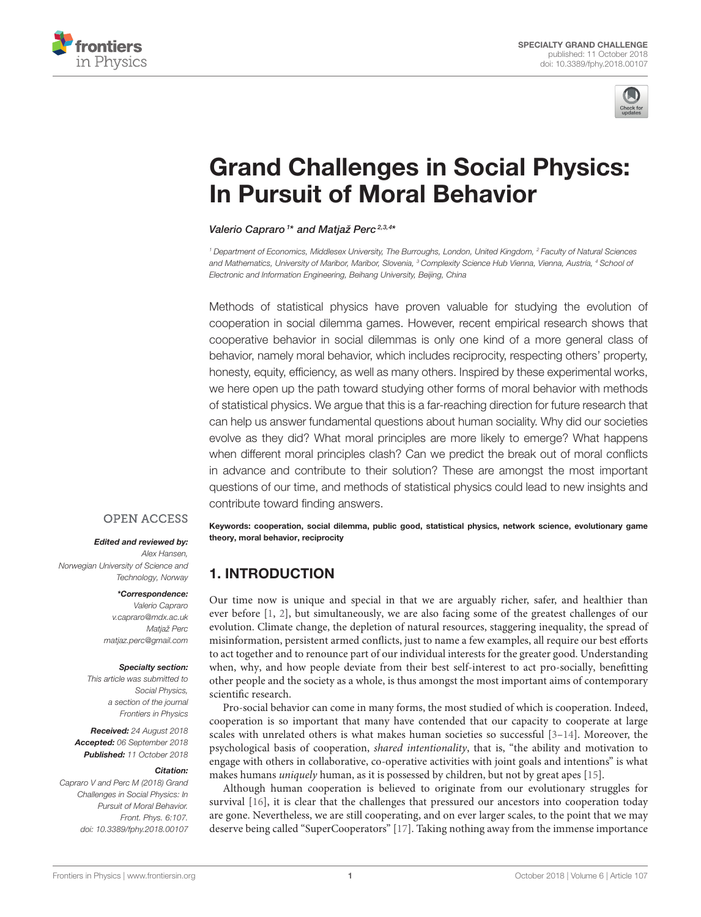



# [Grand Challenges in Social Physics:](https://www.frontiersin.org/articles/10.3389/fphy.2018.00107/full) In Pursuit of Moral Behavior

### [Valerio Capraro](http://loop.frontiersin.org/people/194541/overview)<sup>1\*</sup> and [Matjaž Perc](http://loop.frontiersin.org/people/73038/overview)<sup>2,3,4\*</sup>

<sup>1</sup> Department of Economics, Middlesex University, The Burroughs, London, United Kingdom, <sup>2</sup> Faculty of Natural Sciences and Mathematics, University of Maribor, Maribor, Slovenia, <sup>3</sup> Complexity Science Hub Vienna, Vienna, Austria, <sup>4</sup> School oi Electronic and Information Engineering, Beihang University, Beijing, China

Methods of statistical physics have proven valuable for studying the evolution of cooperation in social dilemma games. However, recent empirical research shows that cooperative behavior in social dilemmas is only one kind of a more general class of behavior, namely moral behavior, which includes reciprocity, respecting others' property, honesty, equity, efficiency, as well as many others. Inspired by these experimental works, we here open up the path toward studying other forms of moral behavior with methods of statistical physics. We argue that this is a far-reaching direction for future research that can help us answer fundamental questions about human sociality. Why did our societies evolve as they did? What moral principles are more likely to emerge? What happens when different moral principles clash? Can we predict the break out of moral conflicts in advance and contribute to their solution? These are amongst the most important questions of our time, and methods of statistical physics could lead to new insights and contribute toward finding answers.

### **OPEN ACCESS**

### Edited and reviewed by:

Alex Hansen, Norwegian University of Science and Technology, Norway

#### \*Correspondence:

Valerio Capraro [v.capraro@mdx.ac.uk](mailto:v.capraro@mdx.ac.uk) Matjaž Perc [matjaz.perc@gmail.com](mailto:matjaz.perc@gmail.com)

#### Specialty section:

This article was submitted to Social Physics, a section of the journal Frontiers in Physics

Received: 24 August 2018 Accepted: 06 September 2018 Published: 11 October 2018

#### Citation:

Capraro V and Perc M (2018) Grand Challenges in Social Physics: In Pursuit of Moral Behavior. Front. Phys. 6:107. doi: [10.3389/fphy.2018.00107](https://doi.org/10.3389/fphy.2018.00107)

Keywords: cooperation, social dilemma, public good, statistical physics, network science, evolutionary game theory, moral behavior, reciprocity

### 1. INTRODUCTION

Our time now is unique and special in that we are arguably richer, safer, and healthier than ever before [\[1,](#page-4-0) [2\]](#page-4-1), but simultaneously, we are also facing some of the greatest challenges of our evolution. Climate change, the depletion of natural resources, staggering inequality, the spread of misinformation, persistent armed conflicts, just to name a few examples, all require our best efforts to act together and to renounce part of our individual interests for the greater good. Understanding when, why, and how people deviate from their best self-interest to act pro-socially, benefitting other people and the society as a whole, is thus amongst the most important aims of contemporary scientific research.

Pro-social behavior can come in many forms, the most studied of which is cooperation. Indeed, cooperation is so important that many have contended that our capacity to cooperate at large scales with unrelated others is what makes human societies so successful  $[3-14]$ . Moreover, the psychological basis of cooperation, shared intentionality, that is, "the ability and motivation to engage with others in collaborative, co-operative activities with joint goals and intentions" is what makes humans uniquely human, as it is possessed by children, but not by great apes [\[15\]](#page-4-4).

Although human cooperation is believed to originate from our evolutionary struggles for survival [\[16\]](#page-4-5), it is clear that the challenges that pressured our ancestors into cooperation today are gone. Nevertheless, we are still cooperating, and on ever larger scales, to the point that we may deserve being called "SuperCooperators" [\[17\]](#page-4-6). Taking nothing away from the immense importance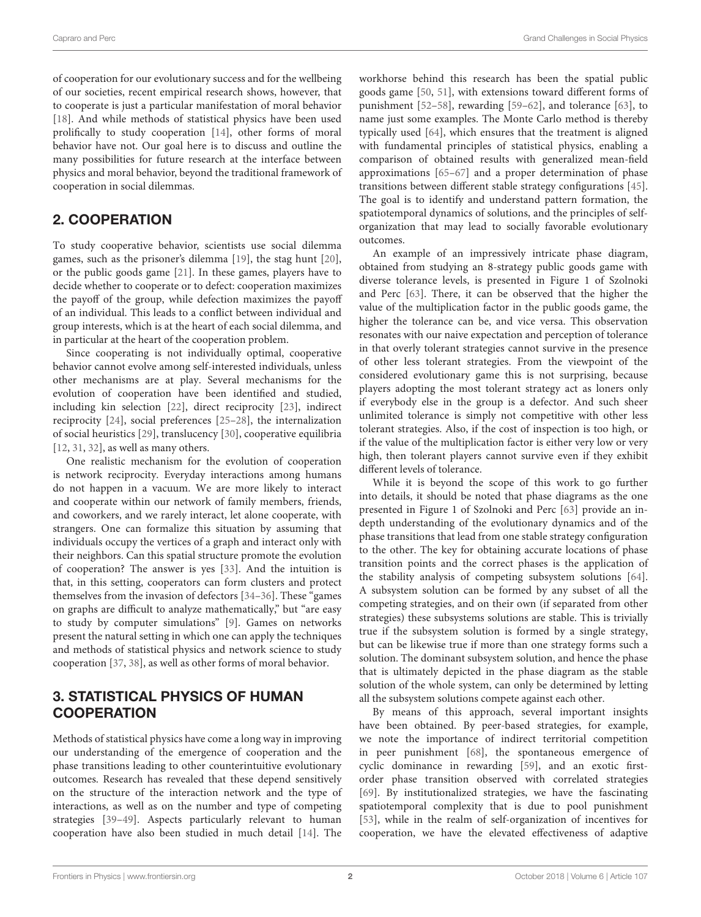of cooperation for our evolutionary success and for the wellbeing of our societies, recent empirical research shows, however, that to cooperate is just a particular manifestation of moral behavior [\[18\]](#page-4-7). And while methods of statistical physics have been used prolifically to study cooperation [\[14\]](#page-4-3), other forms of moral behavior have not. Our goal here is to discuss and outline the many possibilities for future research at the interface between physics and moral behavior, beyond the traditional framework of cooperation in social dilemmas.

### 2. COOPERATION

To study cooperative behavior, scientists use social dilemma games, such as the prisoner's dilemma [\[19\]](#page-4-8), the stag hunt [\[20\]](#page-4-9), or the public goods game [\[21\]](#page-4-10). In these games, players have to decide whether to cooperate or to defect: cooperation maximizes the payoff of the group, while defection maximizes the payoff of an individual. This leads to a conflict between individual and group interests, which is at the heart of each social dilemma, and in particular at the heart of the cooperation problem.

Since cooperating is not individually optimal, cooperative behavior cannot evolve among self-interested individuals, unless other mechanisms are at play. Several mechanisms for the evolution of cooperation have been identified and studied, including kin selection [\[22\]](#page-4-11), direct reciprocity [\[23\]](#page-4-12), indirect reciprocity [\[24\]](#page-4-13), social preferences [\[25–](#page-4-14)[28\]](#page-4-15), the internalization of social heuristics [\[29\]](#page-4-16), translucency [\[30\]](#page-4-17), cooperative equilibria [\[12,](#page-4-18) [31,](#page-4-19) [32\]](#page-4-20), as well as many others.

One realistic mechanism for the evolution of cooperation is network reciprocity. Everyday interactions among humans do not happen in a vacuum. We are more likely to interact and cooperate within our network of family members, friends, and coworkers, and we rarely interact, let alone cooperate, with strangers. One can formalize this situation by assuming that individuals occupy the vertices of a graph and interact only with their neighbors. Can this spatial structure promote the evolution of cooperation? The answer is yes [\[33\]](#page-4-21). And the intuition is that, in this setting, cooperators can form clusters and protect themselves from the invasion of defectors [\[34–](#page-4-22)[36\]](#page-4-23). These "games on graphs are difficult to analyze mathematically," but "are easy to study by computer simulations" [\[9\]](#page-4-24). Games on networks present the natural setting in which one can apply the techniques and methods of statistical physics and network science to study cooperation [\[37,](#page-4-25) [38\]](#page-4-26), as well as other forms of moral behavior.

### 3. STATISTICAL PHYSICS OF HUMAN **COOPERATION**

Methods of statistical physics have come a long way in improving our understanding of the emergence of cooperation and the phase transitions leading to other counterintuitive evolutionary outcomes. Research has revealed that these depend sensitively on the structure of the interaction network and the type of interactions, as well as on the number and type of competing strategies [\[39](#page-4-27)[–49\]](#page-5-0). Aspects particularly relevant to human cooperation have also been studied in much detail [\[14\]](#page-4-3). The workhorse behind this research has been the spatial public goods game [\[50,](#page-5-1) [51\]](#page-5-2), with extensions toward different forms of punishment [\[52–](#page-5-3)[58\]](#page-5-4), rewarding [\[59](#page-5-5)[–62\]](#page-5-6), and tolerance [\[63\]](#page-5-7), to name just some examples. The Monte Carlo method is thereby typically used [\[64\]](#page-5-8), which ensures that the treatment is aligned with fundamental principles of statistical physics, enabling a comparison of obtained results with generalized mean-field approximations [\[65–](#page-5-9)[67\]](#page-5-10) and a proper determination of phase transitions between different stable strategy configurations [\[45\]](#page-4-28). The goal is to identify and understand pattern formation, the spatiotemporal dynamics of solutions, and the principles of selforganization that may lead to socially favorable evolutionary outcomes.

An example of an impressively intricate phase diagram, obtained from studying an 8-strategy public goods game with diverse tolerance levels, is presented in Figure 1 of Szolnoki and Perc [\[63\]](#page-5-7). There, it can be observed that the higher the value of the multiplication factor in the public goods game, the higher the tolerance can be, and vice versa. This observation resonates with our naive expectation and perception of tolerance in that overly tolerant strategies cannot survive in the presence of other less tolerant strategies. From the viewpoint of the considered evolutionary game this is not surprising, because players adopting the most tolerant strategy act as loners only if everybody else in the group is a defector. And such sheer unlimited tolerance is simply not competitive with other less tolerant strategies. Also, if the cost of inspection is too high, or if the value of the multiplication factor is either very low or very high, then tolerant players cannot survive even if they exhibit different levels of tolerance.

While it is beyond the scope of this work to go further into details, it should be noted that phase diagrams as the one presented in Figure 1 of Szolnoki and Perc [\[63\]](#page-5-7) provide an indepth understanding of the evolutionary dynamics and of the phase transitions that lead from one stable strategy configuration to the other. The key for obtaining accurate locations of phase transition points and the correct phases is the application of the stability analysis of competing subsystem solutions [\[64\]](#page-5-8). A subsystem solution can be formed by any subset of all the competing strategies, and on their own (if separated from other strategies) these subsystems solutions are stable. This is trivially true if the subsystem solution is formed by a single strategy, but can be likewise true if more than one strategy forms such a solution. The dominant subsystem solution, and hence the phase that is ultimately depicted in the phase diagram as the stable solution of the whole system, can only be determined by letting all the subsystem solutions compete against each other.

By means of this approach, several important insights have been obtained. By peer-based strategies, for example, we note the importance of indirect territorial competition in peer punishment [\[68\]](#page-5-11), the spontaneous emergence of cyclic dominance in rewarding [\[59\]](#page-5-5), and an exotic firstorder phase transition observed with correlated strategies [\[69\]](#page-5-12). By institutionalized strategies, we have the fascinating spatiotemporal complexity that is due to pool punishment [\[53\]](#page-5-13), while in the realm of self-organization of incentives for cooperation, we have the elevated effectiveness of adaptive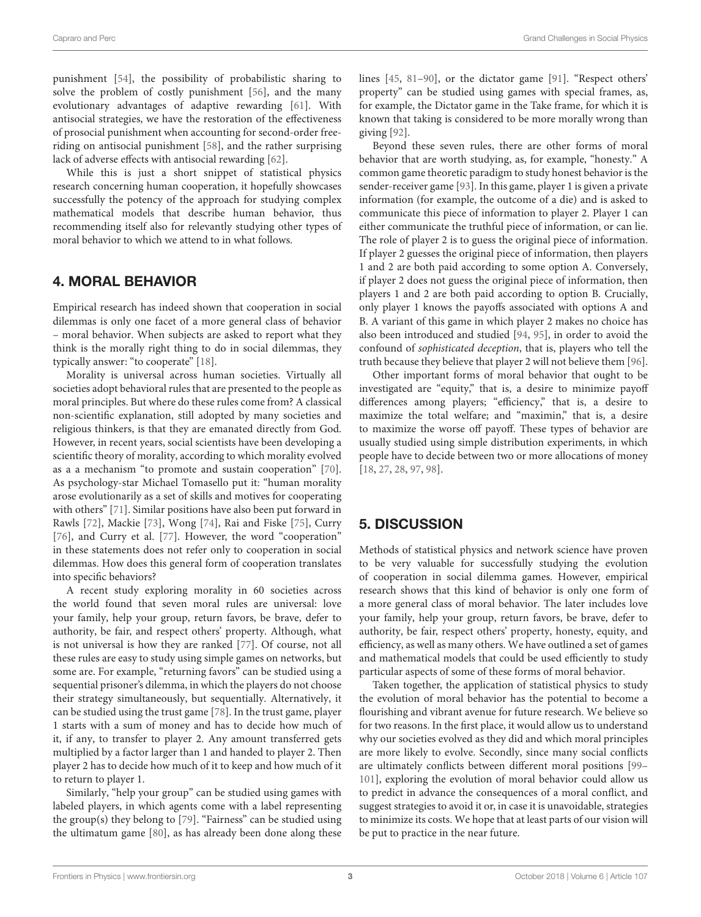Capraro and Perc Grand Challenges in Social Physics

punishment [\[54\]](#page-5-14), the possibility of probabilistic sharing to solve the problem of costly punishment [\[56\]](#page-5-15), and the many evolutionary advantages of adaptive rewarding [\[61\]](#page-5-16). With antisocial strategies, we have the restoration of the effectiveness of prosocial punishment when accounting for second-order freeriding on antisocial punishment [\[58\]](#page-5-4), and the rather surprising lack of adverse effects with antisocial rewarding [\[62\]](#page-5-6).

While this is just a short snippet of statistical physics research concerning human cooperation, it hopefully showcases successfully the potency of the approach for studying complex mathematical models that describe human behavior, thus recommending itself also for relevantly studying other types of moral behavior to which we attend to in what follows.

### 4. MORAL BEHAVIOR

Empirical research has indeed shown that cooperation in social dilemmas is only one facet of a more general class of behavior – moral behavior. When subjects are asked to report what they think is the morally right thing to do in social dilemmas, they typically answer: "to cooperate" [\[18\]](#page-4-7).

Morality is universal across human societies. Virtually all societies adopt behavioral rules that are presented to the people as moral principles. But where do these rules come from? A classical non-scientific explanation, still adopted by many societies and religious thinkers, is that they are emanated directly from God. However, in recent years, social scientists have been developing a scientific theory of morality, according to which morality evolved as a a mechanism "to promote and sustain cooperation" [\[70\]](#page-5-17). As psychology-star Michael Tomasello put it: "human morality arose evolutionarily as a set of skills and motives for cooperating with others" [\[71\]](#page-5-18). Similar positions have also been put forward in Rawls [\[72\]](#page-5-19), Mackie [\[73\]](#page-5-20), Wong [\[74\]](#page-5-21), Rai and Fiske [\[75\]](#page-5-22), Curry [\[76\]](#page-5-23), and Curry et al. [\[77\]](#page-5-24). However, the word "cooperation" in these statements does not refer only to cooperation in social dilemmas. How does this general form of cooperation translates into specific behaviors?

A recent study exploring morality in 60 societies across the world found that seven moral rules are universal: love your family, help your group, return favors, be brave, defer to authority, be fair, and respect others' property. Although, what is not universal is how they are ranked [\[77\]](#page-5-24). Of course, not all these rules are easy to study using simple games on networks, but some are. For example, "returning favors" can be studied using a sequential prisoner's dilemma, in which the players do not choose their strategy simultaneously, but sequentially. Alternatively, it can be studied using the trust game [\[78\]](#page-5-25). In the trust game, player 1 starts with a sum of money and has to decide how much of it, if any, to transfer to player 2. Any amount transferred gets multiplied by a factor larger than 1 and handed to player 2. Then player 2 has to decide how much of it to keep and how much of it to return to player 1.

Similarly, "help your group" can be studied using games with labeled players, in which agents come with a label representing the group(s) they belong to [\[79\]](#page-5-26). "Fairness" can be studied using the ultimatum game [\[80\]](#page-5-27), as has already been done along these lines [\[45,](#page-4-28) [81–](#page-5-28)[90\]](#page-5-29), or the dictator game [\[91\]](#page-5-30). "Respect others' property" can be studied using games with special frames, as, for example, the Dictator game in the Take frame, for which it is known that taking is considered to be more morally wrong than giving [\[92\]](#page-5-31).

Beyond these seven rules, there are other forms of moral behavior that are worth studying, as, for example, "honesty." A common game theoretic paradigm to study honest behavior is the sender-receiver game [\[93\]](#page-5-32). In this game, player 1 is given a private information (for example, the outcome of a die) and is asked to communicate this piece of information to player 2. Player 1 can either communicate the truthful piece of information, or can lie. The role of player 2 is to guess the original piece of information. If player 2 guesses the original piece of information, then players 1 and 2 are both paid according to some option A. Conversely, if player 2 does not guess the original piece of information, then players 1 and 2 are both paid according to option B. Crucially, only player 1 knows the payoffs associated with options A and B. A variant of this game in which player 2 makes no choice has also been introduced and studied [\[94,](#page-5-33) [95\]](#page-5-34), in order to avoid the confound of sophisticated deception, that is, players who tell the truth because they believe that player 2 will not believe them [\[96\]](#page-6-0).

Other important forms of moral behavior that ought to be investigated are "equity," that is, a desire to minimize payoff differences among players; "efficiency," that is, a desire to maximize the total welfare; and "maximin," that is, a desire to maximize the worse off payoff. These types of behavior are usually studied using simple distribution experiments, in which people have to decide between two or more allocations of money [\[18,](#page-4-7) [27,](#page-4-29) [28,](#page-4-15) [97,](#page-6-1) [98\]](#page-6-2).

## 5. DISCUSSION

Methods of statistical physics and network science have proven to be very valuable for successfully studying the evolution of cooperation in social dilemma games. However, empirical research shows that this kind of behavior is only one form of a more general class of moral behavior. The later includes love your family, help your group, return favors, be brave, defer to authority, be fair, respect others' property, honesty, equity, and efficiency, as well as many others. We have outlined a set of games and mathematical models that could be used efficiently to study particular aspects of some of these forms of moral behavior.

Taken together, the application of statistical physics to study the evolution of moral behavior has the potential to become a flourishing and vibrant avenue for future research. We believe so for two reasons. In the first place, it would allow us to understand why our societies evolved as they did and which moral principles are more likely to evolve. Secondly, since many social conflicts are ultimately conflicts between different moral positions [\[99–](#page-6-3) [101\]](#page-6-4), exploring the evolution of moral behavior could allow us to predict in advance the consequences of a moral conflict, and suggest strategies to avoid it or, in case it is unavoidable, strategies to minimize its costs. We hope that at least parts of our vision will be put to practice in the near future.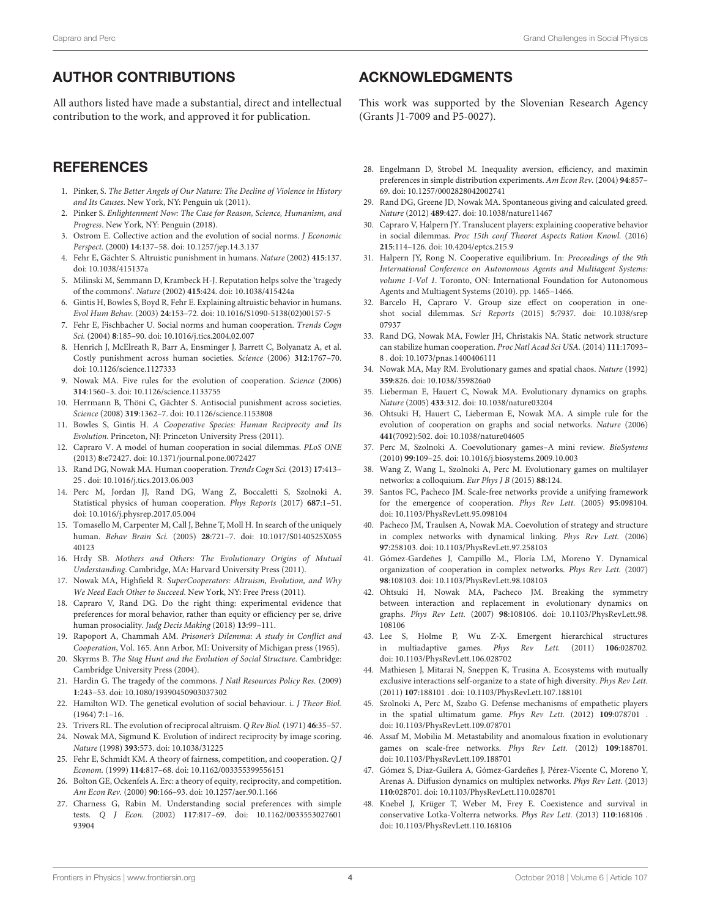## AUTHOR CONTRIBUTIONS

All authors listed have made a substantial, direct and intellectual contribution to the work, and approved it for publication.

### **REFERENCES**

- <span id="page-4-0"></span>1. Pinker, S. The Better Angels of Our Nature: The Decline of Violence in History and Its Causes. New York, NY: Penguin uk (2011).
- <span id="page-4-1"></span>2. Pinker S. Enlightenment Now: The Case for Reason, Science, Humanism, and Progress. New York, NY: Penguin (2018).
- <span id="page-4-2"></span>3. Ostrom E. Collective action and the evolution of social norms. J Economic Perspect. (2000) **14**:137–58. doi: [10.1257/jep.14.3.137](https://doi.org/10.1257/jep.14.3.137)
- 4. Fehr E, Gächter S. Altruistic punishment in humans. Nature (2002) **415**:137. doi: [10.1038/415137a](https://doi.org/10.1038/415137a)
- 5. Milinski M, Semmann D, Krambeck H-J. Reputation helps solve the 'tragedy of the commons'. Nature (2002) **415**:424. doi: [10.1038/415424a](https://doi.org/10.1038/415424a)
- 6. Gintis H, Bowles S, Boyd R, Fehr E. Explaining altruistic behavior in humans. Evol Hum Behav. (2003) **24**:153–72. doi: [10.1016/S1090-5138\(02\)00157-5](https://doi.org/10.1016/S1090-5138(02)00157-5)
- 7. Fehr E, Fischbacher U. Social norms and human cooperation. Trends Cogn Sci. (2004) **8**:185–90. doi: [10.1016/j.tics.2004.02.007](https://doi.org/10.1016/j.tics.2004.02.007)
- 8. Henrich J, McElreath R, Barr A, Ensminger J, Barrett C, Bolyanatz A, et al. Costly punishment across human societies. Science (2006) **312**:1767–70. doi: [10.1126/science.1127333](https://doi.org/10.1126/science.1127333)
- <span id="page-4-24"></span>9. Nowak MA. Five rules for the evolution of cooperation. Science (2006) **314**:1560–3. doi: [10.1126/science.1133755](https://doi.org/10.1126/science.1133755)
- 10. Herrmann B, Thöni C, Gächter S. Antisocial punishment across societies. Science (2008) **319**:1362–7. doi: [10.1126/science.1153808](https://doi.org/10.1126/science.1153808)
- 11. Bowles S, Gintis H. A Cooperative Species: Human Reciprocity and Its Evolution. Princeton, NJ: Princeton University Press (2011).
- <span id="page-4-18"></span>12. Capraro V. A model of human cooperation in social dilemmas. PLoS ONE (2013) **8**:e72427. doi: [10.1371/journal.pone.0072427](https://doi.org/10.1371/journal.pone.0072427)
- 13. Rand DG, Nowak MA. Human cooperation. Trends Cogn Sci. (2013) **17**:413– 25 . doi: [10.1016/j.tics.2013.06.003](https://doi.org/10.1016/j.tics.2013.06.003)
- <span id="page-4-3"></span>14. Perc M, Jordan JJ, Rand DG, Wang Z, Boccaletti S, Szolnoki A. Statistical physics of human cooperation. Phys Reports (2017) **687**:1–51. doi: [10.1016/j.physrep.2017.05.004](https://doi.org/10.1016/j.physrep.2017.05.004)
- <span id="page-4-4"></span>15. Tomasello M, Carpenter M, Call J, Behne T, Moll H. In search of the uniquely human. Behav Brain Sci. (2005) **28**[:721–7. doi: 10.1017/S0140525X055](https://doi.org/10.1017/S0140525X05540123) 40123
- <span id="page-4-5"></span>16. Hrdy SB. Mothers and Others: The Evolutionary Origins of Mutual Understanding. Cambridge, MA: Harvard University Press (2011).
- <span id="page-4-6"></span>17. Nowak MA, Highfield R. SuperCooperators: Altruism, Evolution, and Why We Need Each Other to Succeed. New York, NY: Free Press (2011).
- <span id="page-4-7"></span>18. Capraro V, Rand DG. Do the right thing: experimental evidence that preferences for moral behavior, rather than equity or efficiency per se, drive human prosociality. Judg Decis Making (2018) **13**:99–111.
- <span id="page-4-8"></span>19. Rapoport A, Chammah AM. Prisoner's Dilemma: A study in Conflict and Cooperation, Vol. 165. Ann Arbor, MI: University of Michigan press (1965).
- <span id="page-4-9"></span>20. Skyrms B. The Stag Hunt and the Evolution of Social Structure. Cambridge: Cambridge University Press (2004).
- <span id="page-4-10"></span>21. Hardin G. The tragedy of the commons. J Natl Resources Policy Res. (2009) **1**:243–53. doi: [10.1080/19390450903037302](https://doi.org/10.1080/19390450903037302)
- <span id="page-4-11"></span>22. Hamilton WD. The genetical evolution of social behaviour. i. J Theor Biol. (1964) **7**:1–16.
- <span id="page-4-12"></span>23. Trivers RL. The evolution of reciprocal altruism. Q Rev Biol. (1971) **46**:35–57.
- <span id="page-4-13"></span>24. Nowak MA, Sigmund K. Evolution of indirect reciprocity by image scoring. Nature (1998) **393**:573. doi: [10.1038/31225](https://doi.org/10.1038/31225)
- <span id="page-4-14"></span>25. Fehr E, Schmidt KM. A theory of fairness, competition, and cooperation. Q J Econom. (1999) **114**:817–68. doi: [10.1162/003355399556151](https://doi.org/10.1162/003355399556151)
- 26. Bolton GE, Ockenfels A. Erc: a theory of equity, reciprocity, and competition. Am Econ Rev. (2000) **90**:166–93. doi: [10.1257/aer.90.1.166](https://doi.org/10.1257/aer.90.1.166)
- <span id="page-4-29"></span>27. Charness G, Rabin M. Understanding social preferences with simple tests. Q J Econ. (2002) **117**[:817–69. doi: 10.1162/0033553027601](https://doi.org/10.1162/003355302760193904) 93904

### ACKNOWLEDGMENTS

This work was supported by the Slovenian Research Agency (Grants J1-7009 and P5-0027).

- <span id="page-4-15"></span>28. Engelmann D, Strobel M. Inequality aversion, efficiency, and maximin preferences in simple distribution experiments. Am Econ Rev. (2004) **94**:857– 69. doi: [10.1257/0002828042002741](https://doi.org/10.1257/0002828042002741)
- <span id="page-4-16"></span>29. Rand DG, Greene JD, Nowak MA. Spontaneous giving and calculated greed. Nature (2012) **489**:427. doi: [10.1038/nature11467](https://doi.org/10.1038/nature11467)
- <span id="page-4-17"></span>30. Capraro V, Halpern JY. Translucent players: explaining cooperative behavior in social dilemmas. Proc 15th conf Theoret Aspects Ration Knowl. (2016) **215**:114–126. doi: [10.4204/eptcs.215.9](https://doi.org/10.4204/eptcs.215.9)
- <span id="page-4-19"></span>31. Halpern JY, Rong N. Cooperative equilibrium. In: Proceedings of the 9th International Conference on Autonomous Agents and Multiagent Systems: volume 1-Vol 1. Toronto, ON: International Foundation for Autonomous Agents and Multiagent Systems (2010). pp. 1465–1466.
- <span id="page-4-20"></span>32. Barcelo H, Capraro V. Group size effect on cooperation in oneshot social dilemmas. Sci Reports (2015) **5**[:7937. doi: 10.1038/srep](https://doi.org/10.1038/srep07937) 07937
- <span id="page-4-21"></span>33. Rand DG, Nowak MA, Fowler JH, Christakis NA. Static network structure can stabilize human cooperation. Proc Natl Acad Sci USA. (2014) **111**:17093– 8 . doi: [10.1073/pnas.1400406111](https://doi.org/10.1073/pnas.1400406111)
- <span id="page-4-22"></span>34. Nowak MA, May RM. Evolutionary games and spatial chaos. Nature (1992) **359**:826. doi: [10.1038/359826a0](https://doi.org/10.1038/359826a0)
- 35. Lieberman E, Hauert C, Nowak MA. Evolutionary dynamics on graphs. Nature (2005) **433**:312. doi: [10.1038/nature03204](https://doi.org/10.1038/nature03204)
- <span id="page-4-23"></span>36. Ohtsuki H, Hauert C, Lieberman E, Nowak MA. A simple rule for the evolution of cooperation on graphs and social networks. Nature (2006) **441**(7092):502. doi: [10.1038/nature04605](https://doi.org/10.1038/nature04605)
- <span id="page-4-25"></span>37. Perc M, Szolnoki A. Coevolutionary games–A mini review. BioSystems (2010) **99**:109–25. doi: [10.1016/j.biosystems.2009.10.003](https://doi.org/10.1016/j.biosystems.2009.10.003)
- <span id="page-4-26"></span>38. Wang Z, Wang L, Szolnoki A, Perc M. Evolutionary games on multilayer networks: a colloquium. Eur Phys J B (2015) **88**:124.
- <span id="page-4-27"></span>Santos FC, Pacheco JM. Scale-free networks provide a unifying framework for the emergence of cooperation. Phys Rev Lett. (2005) **95**:098104. doi: [10.1103/PhysRevLett.95.098104](https://doi.org/10.1103/PhysRevLett.95.098104)
- 40. Pacheco JM, Traulsen A, Nowak MA. Coevolution of strategy and structure in complex networks with dynamical linking. Phys Rev Lett. (2006) **97**:258103. doi: [10.1103/PhysRevLett.97.258103](https://doi.org/10.1103/PhysRevLett.97.258103)
- 41. Gómez-Gardeñes J, Campillo M., Floría LM, Moreno Y. Dynamical organization of cooperation in complex networks. Phys Rev Lett. (2007) **98**:108103. doi: [10.1103/PhysRevLett.98.108103](https://doi.org/10.1103/PhysRevLett.98.108103)
- 42. Ohtsuki H, Nowak MA, Pacheco JM. Breaking the symmetry between interaction and replacement in evolutionary dynamics on graphs. Phys Rev Lett. (2007) **98**[:108106. doi: 10.1103/PhysRevLett.98.](https://doi.org/10.1103/PhysRevLett.98.108106) 108106
- 43. Lee S, Holme P, Wu Z-X. Emergent hierarchical structures in multiadaptive games. Phys Rev Lett. (2011) **106**:028702. doi: [10.1103/PhysRevLett.106.028702](https://doi.org/10.1103/PhysRevLett.106.028702)
- 44. Mathiesen J, Mitarai N, Sneppen K, Trusina A. Ecosystems with mutually exclusive interactions self-organize to a state of high diversity. Phys Rev Lett. (2011) **107**:188101 . doi: [10.1103/PhysRevLett.107.188101](https://doi.org/10.1103/PhysRevLett.107.188101)
- <span id="page-4-28"></span>45. Szolnoki A, Perc M, Szabo G. Defense mechanisms of empathetic players in the spatial ultimatum game. Phys Rev Lett. (2012) **109**:078701 . doi: [10.1103/PhysRevLett.109.078701](https://doi.org/10.1103/PhysRevLett.109.078701)
- 46. Assaf M, Mobilia M. Metastability and anomalous fixation in evolutionary games on scale-free networks. Phys Rev Lett. (2012) **109**:188701. doi: [10.1103/PhysRevLett.109.188701](https://doi.org/10.1103/PhysRevLett.109.188701)
- 47. Gómez S, Díaz-Guilera A, Gómez-Gardeñes J, Pérez-Vicente C, Moreno Y, Arenas A. Diffusion dynamics on multiplex networks. Phys Rev Lett. (2013) **110**:028701. doi: [10.1103/PhysRevLett.110.028701](https://doi.org/10.1103/PhysRevLett.110.028701)
- 48. Knebel J, Krüger T, Weber M, Frey E. Coexistence and survival in conservative Lotka-Volterra networks. Phys Rev Lett. (2013) **110**:168106 . doi: [10.1103/PhysRevLett.110.168106](https://doi.org/10.1103/PhysRevLett.110.168106)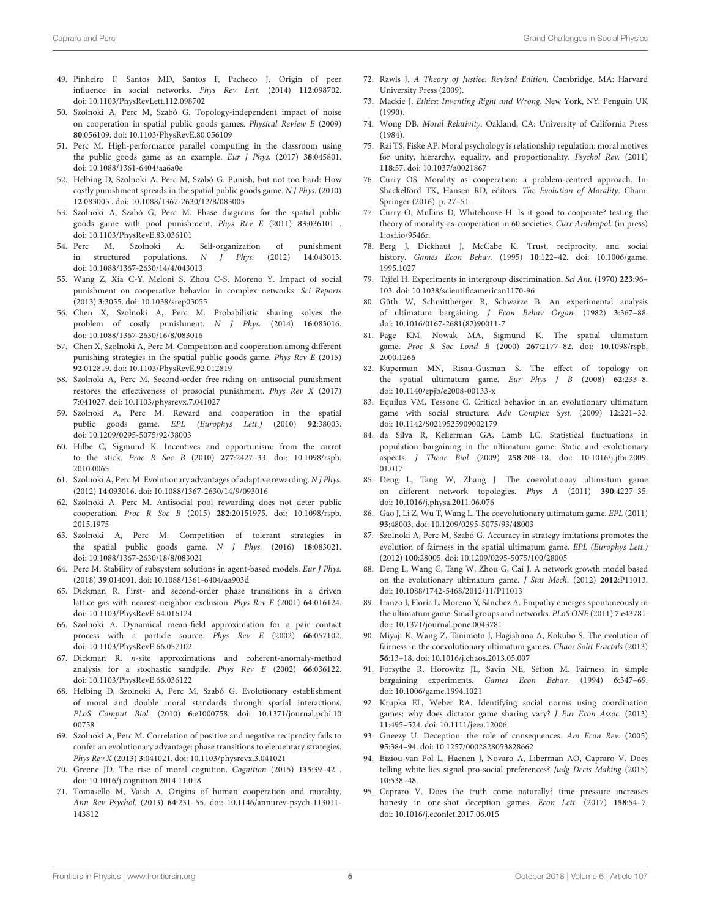- <span id="page-5-0"></span>49. Pinheiro F, Santos MD, Santos F, Pacheco J. Origin of peer influence in social networks. Phys Rev Lett. (2014) **112**:098702. doi: [10.1103/PhysRevLett.112.098702](https://doi.org/10.1103/PhysRevLett.112.098702)
- <span id="page-5-1"></span>50. Szolnoki A, Perc M, Szabó G. Topology-independent impact of noise on cooperation in spatial public goods games. Physical Review E (2009) **80**:056109. doi: [10.1103/PhysRevE.80.056109](https://doi.org/10.1103/PhysRevE.80.056109)
- <span id="page-5-2"></span>51. Perc M. High-performance parallel computing in the classroom using the public goods game as an example. Eur J Phys. (2017) **38**:045801. doi: [10.1088/1361-6404/aa6a0e](https://doi.org/10.1088/1361-6404/aa6a0e)
- <span id="page-5-3"></span>52. Helbing D, Szolnoki A, Perc M, Szabó G. Punish, but not too hard: How costly punishment spreads in the spatial public goods game. N J Phys. (2010) **12**:083005 . doi: [10.1088/1367-2630/12/8/083005](https://doi.org/10.1088/1367-2630/12/8/083005)
- <span id="page-5-13"></span>53. Szolnoki A, Szabó G, Perc M. Phase diagrams for the spatial public goods game with pool punishment. Phys Rev E (2011) **83**:036101 .
- <span id="page-5-14"></span>doi: [10.1103/PhysRevE.83.036101](https://doi.org/10.1103/PhysRevE.83.036101) 54. Perc M, Szolnoki A. Self-organization of punishment in structured populations. N J Phys. (2012) 14:043013. in structured populations. N doi: [10.1088/1367-2630/14/4/043013](https://doi.org/10.1088/1367-2630/14/4/043013)
- 55. Wang Z, Xia C-Y, Meloni S, Zhou C-S, Moreno Y. Impact of social punishment on cooperative behavior in complex networks. Sci Reports (2013) **3**:3055. doi: [10.1038/srep03055](https://doi.org/10.1038/srep03055)
- <span id="page-5-15"></span>56. Chen X, Szolnoki A, Perc M. Probabilistic sharing solves the problem of costly punishment. N J Phys. (2014) **16**:083016. doi: [10.1088/1367-2630/16/8/083016](https://doi.org/10.1088/1367-2630/16/8/083016)
- 57. Chen X, Szolnoki A, Perc M. Competition and cooperation among different punishing strategies in the spatial public goods game. Phys Rev E (2015) **92**:012819. doi: [10.1103/PhysRevE.92.012819](https://doi.org/10.1103/PhysRevE.92.012819)
- <span id="page-5-4"></span>58. Szolnoki A, Perc M. Second-order free-riding on antisocial punishment restores the effectiveness of prosocial punishment. Phys Rev X (2017) **7**:041027. doi: [10.1103/physrevx.7.041027](https://doi.org/10.1103/physrevx.7.041027)
- <span id="page-5-5"></span>59. Szolnoki A, Perc M. Reward and cooperation in the spatial public goods game. EPL (Europhys Lett.) (2010) **92**:38003. doi: [10.1209/0295-5075/92/38003](https://doi.org/10.1209/0295-5075/92/38003)
- 60. Hilbe C, Sigmund K. Incentives and opportunism: from the carrot to the stick. Proc R Soc B (2010) **277**[:2427–33. doi: 10.1098/rspb.](https://doi.org/10.1098/rspb.2010.0065) 2010.0065
- <span id="page-5-16"></span>61. Szolnoki A, Perc M. Evolutionary advantages of adaptive rewarding. N J Phys. (2012) **14**:093016. doi: [10.1088/1367-2630/14/9/093016](https://doi.org/10.1088/1367-2630/14/9/093016)
- <span id="page-5-6"></span>62. Szolnoki A, Perc M. Antisocial pool rewarding does not deter public cooperation. Proc R Soc B (2015) **282**[:20151975. doi: 10.1098/rspb.](https://doi.org/10.1098/rspb.2015.1975) 2015.1975
- <span id="page-5-7"></span>63. Szolnoki A, Perc M. Competition of tolerant strategies in the spatial public goods game. N J Phys. (2016) **18**:083021. doi: [10.1088/1367-2630/18/8/083021](https://doi.org/10.1088/1367-2630/18/8/083021)
- <span id="page-5-8"></span>64. Perc M. Stability of subsystem solutions in agent-based models. Eur J Phys. (2018) **39**:014001. doi: [10.1088/1361-6404/aa903d](https://doi.org/10.1088/1361-6404/aa903d)
- <span id="page-5-9"></span>65. Dickman R. First- and second-order phase transitions in a driven lattice gas with nearest-neighbor exclusion. Phys Rev E (2001) **64**:016124. doi: [10.1103/PhysRevE.64.016124](https://doi.org/10.1103/PhysRevE.64.016124)
- 66. Szolnoki A. Dynamical mean-field approximation for a pair contact process with a particle source. Phys Rev E (2002) **66**:057102. doi: [10.1103/PhysRevE.66.057102](https://doi.org/10.1103/PhysRevE.66.057102)
- <span id="page-5-10"></span>67. Dickman R. n-site approximations and coherent-anomaly-method analysis for a stochastic sandpile. Phys Rev E (2002) **66**:036122. doi: [10.1103/PhysRevE.66.036122](https://doi.org/10.1103/PhysRevE.66.036122)
- <span id="page-5-11"></span>68. Helbing D, Szolnoki A, Perc M, Szabó G. Evolutionary establishment of moral and double moral standards through spatial interactions. PLoS Comput Biol. (2010) **6**[:e1000758. doi: 10.1371/journal.pcbi.10](https://doi.org/10.1371/journal.pcbi.1000758) 00758
- <span id="page-5-12"></span>69. Szolnoki A, Perc M. Correlation of positive and negative reciprocity fails to confer an evolutionary advantage: phase transitions to elementary strategies. Phys Rev X (2013) **3**:041021. doi: [10.1103/physrevx.3.041021](https://doi.org/10.1103/physrevx.3.041021)
- <span id="page-5-17"></span>70. Greene JD. The rise of moral cognition. Cognition (2015) **135**:39–42 . doi: [10.1016/j.cognition.2014.11.018](https://doi.org/10.1016/j.cognition.2014.11.018)
- <span id="page-5-18"></span>71. Tomasello M, Vaish A. Origins of human cooperation and morality. Ann Rev Psychol. (2013) **64**[:231–55. doi: 10.1146/annurev-psych-113011-](https://doi.org/10.1146/annurev-psych-113011-143812) 143812
- <span id="page-5-19"></span>72. Rawls J. A Theory of Justice: Revised Edition. Cambridge, MA: Harvard University Press (2009).
- <span id="page-5-20"></span>73. Mackie J. Ethics: Inventing Right and Wrong. New York, NY: Penguin UK (1990).
- <span id="page-5-21"></span>74. Wong DB. Moral Relativity. Oakland, CA: University of California Press (1984).
- <span id="page-5-22"></span>75. Rai TS, Fiske AP. Moral psychology is relationship regulation: moral motives for unity, hierarchy, equality, and proportionality. Psychol Rev. (2011) **118**:57. doi: [10.1037/a0021867](https://doi.org/10.1037/a0021867)
- <span id="page-5-23"></span>76. Curry OS. Morality as cooperation: a problem-centred approach. In: Shackelford TK, Hansen RD, editors. The Evolution of Morality. Cham: Springer (2016). p. 27–51.
- <span id="page-5-24"></span>77. Curry O, Mullins D, Whitehouse H. Is it good to cooperate? testing the theory of morality-as-cooperation in 60 societies. Curr Anthropol. (in press) **1**:osf.io/9546r.
- <span id="page-5-25"></span>78. Berg J, Dickhaut J, McCabe K. Trust, reciprocity, and social history. Games Econ Behav. (1995) **10**[:122–42. doi: 10.1006/game.](https://doi.org/10.1006/game.1995.1027) 1995.1027
- <span id="page-5-26"></span>79. Tajfel H. Experiments in intergroup discrimination. Sci Am. (1970) **223**:96– 103. doi: [10.1038/scientificamerican1170-96](https://doi.org/10.1038/scientificamerican1170-96)
- <span id="page-5-27"></span>80. Güth W, Schmittberger R, Schwarze B. An experimental analysis of ultimatum bargaining. J Econ Behav Organ. (1982) **3**:367–88. doi: [10.1016/0167-2681\(82\)90011-7](https://doi.org/10.1016/0167-2681(82)90011-7)
- <span id="page-5-28"></span>81. Page KM, Nowak MA, Sigmund K. The spatial ultimatum game. Proc R Soc Lond B (2000) **267**[:2177–82. doi: 10.1098/rspb.](https://doi.org/10.1098/rspb.2000.1266) 2000.1266
- 82. Kuperman MN, Risau-Gusman S. The effect of topology on the spatial ultimatum game. Eur Phys J B (2008) **62**:233–8. doi: [10.1140/epjb/e2008-00133-x](https://doi.org/10.1140/epjb/e2008-00133-x)
- 83. Equíluz VM, Tessone C. Critical behavior in an evolutionary ultimatum game with social structure. Adv Complex Syst. (2009) **12**:221–32. doi: [10.1142/S0219525909002179](https://doi.org/10.1142/S0219525909002179)
- 84. da Silva R, Kellerman GA, Lamb LC. Statistical fluctuations in population bargaining in the ultimatum game: Static and evolutionary aspects. J Theor Biol (2009) **258**[:208–18. doi: 10.1016/j.jtbi.2009.](https://doi.org/10.1016/j.jtbi.2009.01.017) 01.017
- 85. Deng L, Tang W, Zhang J. The coevolutionay ultimatum game on different network topologies. Phys A (2011) **390**:4227–35. doi: [10.1016/j.physa.2011.06.076](https://doi.org/10.1016/j.physa.2011.06.076)
- 86. Gao J, Li Z, Wu T, Wang L. The coevolutionary ultimatum game. EPL (2011) **93**:48003. doi: [10.1209/0295-5075/93/48003](https://doi.org/10.1209/0295-5075/93/48003)
- 87. Szolnoki A, Perc M, Szabó G. Accuracy in strategy imitations promotes the evolution of fairness in the spatial ultimatum game. EPL (Europhys Lett.) (2012) **100**:28005. doi: [10.1209/0295-5075/100/28005](https://doi.org/10.1209/0295-5075/100/28005)
- 88. Deng L, Wang C, Tang W, Zhou G, Cai J. A network growth model based on the evolutionary ultimatum game. J Stat Mech. (2012) **2012**:P11013. doi: [10.1088/1742-5468/2012/11/P11013](https://doi.org/10.1088/1742-5468/2012/11/P11013)
- 89. Iranzo J, Floría L, Moreno Y, Sánchez A. Empathy emerges spontaneously in the ultimatum game: Small groups and networks. PLoS ONE (2011) **7**:e43781. doi: [10.1371/journal.pone.0043781](https://doi.org/10.1371/journal.pone.0043781)
- <span id="page-5-29"></span>90. Miyaji K, Wang Z, Tanimoto J, Hagishima A, Kokubo S. The evolution of fairness in the coevolutionary ultimatum games. Chaos Solit Fractals (2013) **56**:13–18. doi: [10.1016/j.chaos.2013.05.007](https://doi.org/10.1016/j.chaos.2013.05.007)
- <span id="page-5-30"></span>91. Forsythe R, Horowitz JL, Savin NE, Sefton M. Fairness in simple bargaining experiments. Games Econ Behav. (1994) **6**:347–69. doi: [10.1006/game.1994.1021](https://doi.org/10.1006/game.1994.1021)
- <span id="page-5-31"></span>92. Krupka EL, Weber RA. Identifying social norms using coordination games: why does dictator game sharing vary? J Eur Econ Assoc. (2013) **11**:495–524. doi: [10.1111/jeea.12006](https://doi.org/10.1111/jeea.12006)
- <span id="page-5-32"></span>93. Gneezy U. Deception: the role of consequences. Am Econ Rev. (2005) **95**:384–94. doi: [10.1257/0002828053828662](https://doi.org/10.1257/0002828053828662)
- <span id="page-5-33"></span>94. Biziou-van Pol L, Haenen J, Novaro A, Liberman AO, Capraro V. Does telling white lies signal pro-social preferences? Judg Decis Making (2015) **10**:538–48.
- <span id="page-5-34"></span>95. Capraro V. Does the truth come naturally? time pressure increases honesty in one-shot deception games. Econ Lett. (2017) **158**:54–7. doi: [10.1016/j.econlet.2017.06.015](https://doi.org/10.1016/j.econlet.2017.06.015)